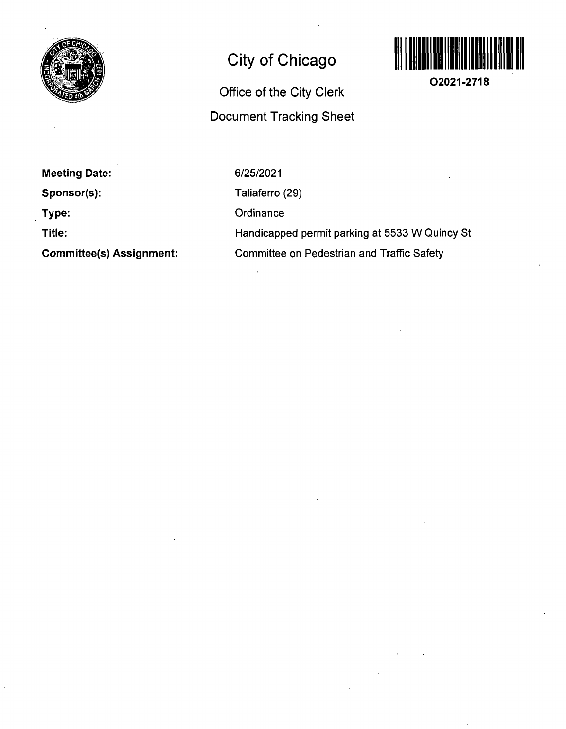

## **City of Chicago**

## **Office of the City Clerk Document Tracking Sheet**



**02021-2718** 

**Meeting Date:** 

**Sponsor(s):** 

**Type:** 

**Title:** 

**Committee(s) Assignment:** 

6/25/2021 Taliaferro (29) **Ordinance** 

Handicapped permit parking at 5533 W Quincy St Committee on Pedestrian and Traffic Safety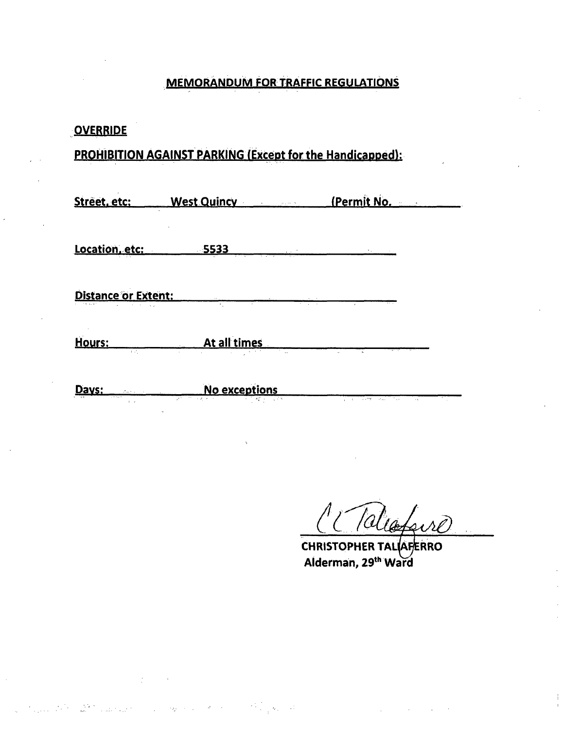## **MEMORANDUM FOR TRAFFIC REGULATIONS**

| <b>OVERRIDE</b>                                                                                 |                                      |                                                                            |
|-------------------------------------------------------------------------------------------------|--------------------------------------|----------------------------------------------------------------------------|
| PROHIBITION AGAINST PARKING (Except for the Handicapped):                                       |                                      |                                                                            |
|                                                                                                 | Street, etc: West Quincy (Permit No. |                                                                            |
|                                                                                                 |                                      |                                                                            |
| <b>Distance or Extent:</b>                                                                      |                                      |                                                                            |
| <u>Hours: __</u>                                                                                | <b>At all times</b>                  |                                                                            |
| Days:<br>$\mathcal{L}^{\mathcal{L}}$ . We can consider the constant $\mathcal{L}^{\mathcal{L}}$ | No exceptions<br>V.                  | the company of the company of the company of the company of the company of |

 $\tau_{\rm 200}$ 

Talcafoire

**CHRISTOPHER TALIAFERRO**  Alderman, 29<sup>th</sup> Ward